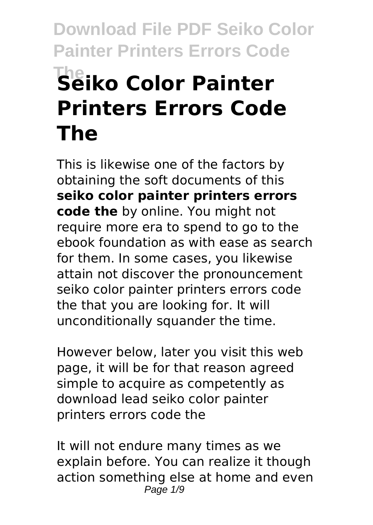# **Download File PDF Seiko Color Painter Printers Errors Code The Seiko Color Painter Printers Errors Code The**

This is likewise one of the factors by obtaining the soft documents of this **seiko color painter printers errors code the** by online. You might not require more era to spend to go to the ebook foundation as with ease as search for them. In some cases, you likewise attain not discover the pronouncement seiko color painter printers errors code the that you are looking for. It will unconditionally squander the time.

However below, later you visit this web page, it will be for that reason agreed simple to acquire as competently as download lead seiko color painter printers errors code the

It will not endure many times as we explain before. You can realize it though action something else at home and even Page 1/9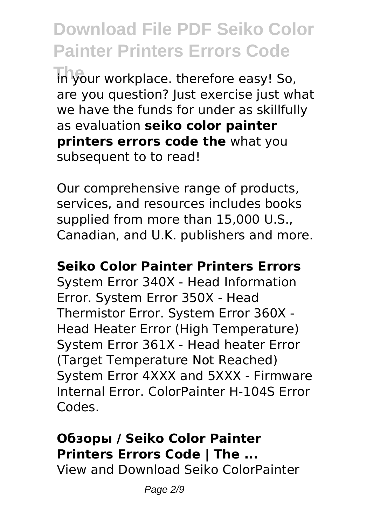**Download File PDF Seiko Color Painter Printers Errors Code The your workplace. therefore easy! So,** are you question? Just exercise just what we have the funds for under as skillfully as evaluation **seiko color painter printers errors code the** what you subsequent to to read!

Our comprehensive range of products, services, and resources includes books supplied from more than 15,000 U.S., Canadian, and U.K. publishers and more.

#### **Seiko Color Painter Printers Errors**

System Error 340X - Head Information Error. System Error 350X - Head Thermistor Error. System Error 360X - Head Heater Error (High Temperature) System Error 361X - Head heater Error (Target Temperature Not Reached) System Error 4XXX and 5XXX - Firmware Internal Error. ColorPainter H-104S Error Codes.

# **Обзоры / Seiko Color Painter Printers Errors Code | The ...**

View and Download Seiko ColorPainter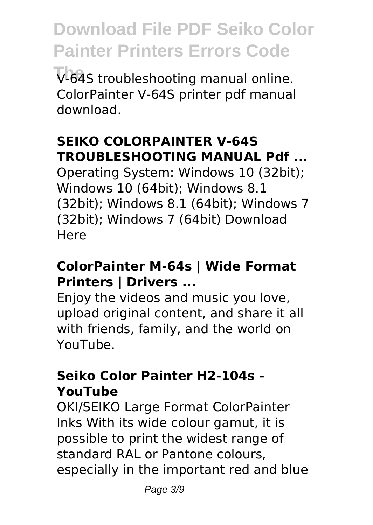**The** V-64S troubleshooting manual online. ColorPainter V-64S printer pdf manual download.

# **SEIKO COLORPAINTER V-64S TROUBLESHOOTING MANUAL Pdf ...**

Operating System: Windows 10 (32bit); Windows 10 (64bit); Windows 8.1 (32bit); Windows 8.1 (64bit); Windows 7 (32bit); Windows 7 (64bit) Download Here

# **ColorPainter M-64s | Wide Format Printers | Drivers ...**

Enjoy the videos and music you love, upload original content, and share it all with friends, family, and the world on YouTube.

#### **Seiko Color Painter H2-104s - YouTube**

OKI/SEIKO Large Format ColorPainter Inks With its wide colour gamut, it is possible to print the widest range of standard RAL or Pantone colours, especially in the important red and blue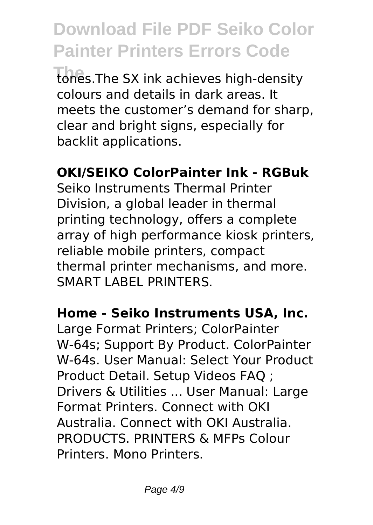**Download File PDF Seiko Color Painter Printers Errors Code The** tones.The SX ink achieves high-density colours and details in dark areas. It meets the customer's demand for sharp, clear and bright signs, especially for backlit applications.

# **OKI/SEIKO ColorPainter Ink - RGBuk**

Seiko Instruments Thermal Printer Division, a global leader in thermal printing technology, offers a complete array of high performance kiosk printers, reliable mobile printers, compact thermal printer mechanisms, and more. SMART LABEL PRINTERS.

#### **Home - Seiko Instruments USA, Inc.**

Large Format Printers; ColorPainter W-64s; Support By Product. ColorPainter W-64s. User Manual: Select Your Product Product Detail. Setup Videos FAQ ; Drivers & Utilities ... User Manual: Large Format Printers. Connect with OKI Australia. Connect with OKI Australia. PRODUCTS. PRINTERS & MFPs Colour Printers. Mono Printers.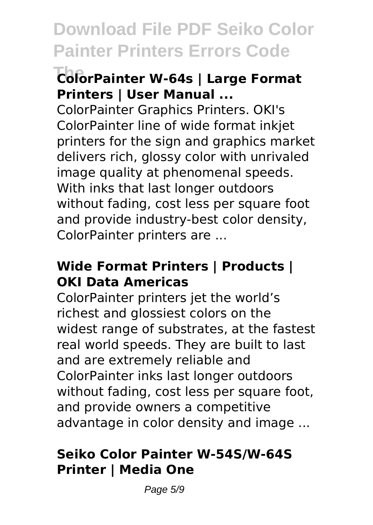# **The ColorPainter W-64s | Large Format Printers | User Manual ...**

ColorPainter Graphics Printers. OKI's ColorPainter line of wide format inkjet printers for the sign and graphics market delivers rich, glossy color with unrivaled image quality at phenomenal speeds. With inks that last longer outdoors without fading, cost less per square foot and provide industry-best color density, ColorPainter printers are ...

#### **Wide Format Printers | Products | OKI Data Americas**

ColorPainter printers jet the world's richest and glossiest colors on the widest range of substrates, at the fastest real world speeds. They are built to last and are extremely reliable and ColorPainter inks last longer outdoors without fading, cost less per square foot, and provide owners a competitive advantage in color density and image ...

#### **Seiko Color Painter W-54S/W-64S Printer | Media One**

Page 5/9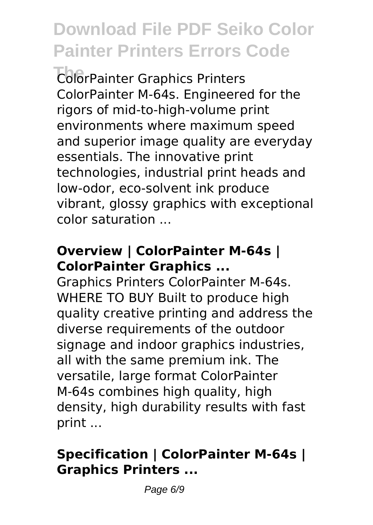**The** ColorPainter Graphics Printers ColorPainter M-64s. Engineered for the rigors of mid-to-high-volume print environments where maximum speed and superior image quality are everyday essentials. The innovative print technologies, industrial print heads and low-odor, eco-solvent ink produce vibrant, glossy graphics with exceptional color saturation ...

## **Overview | ColorPainter M-64s | ColorPainter Graphics ...**

Graphics Printers ColorPainter M-64s. WHERE TO BUY Built to produce high quality creative printing and address the diverse requirements of the outdoor signage and indoor graphics industries, all with the same premium ink. The versatile, large format ColorPainter M-64s combines high quality, high density, high durability results with fast print ...

# **Specification | ColorPainter M-64s | Graphics Printers ...**

Page 6/9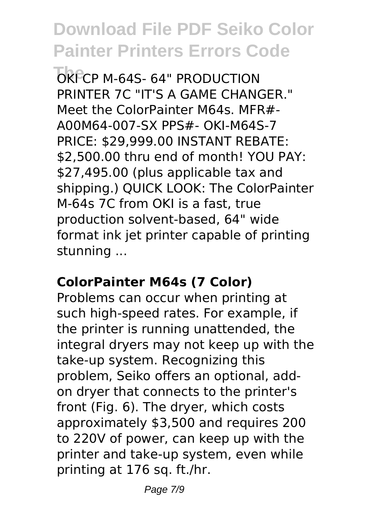**OKECP M-64S- 64" PRODUCTION** PRINTER 7C "IT'S A GAME CHANGER." Meet the ColorPainter M64s. MFR#- A00M64-007-SX PPS#- OKI-M64S-7 PRICE: \$29,999.00 INSTANT REBATE: \$2,500.00 thru end of month! YOU PAY. \$27,495.00 (plus applicable tax and shipping.) QUICK LOOK: The ColorPainter M-64s 7C from OKI is a fast, true production solvent-based, 64" wide format ink jet printer capable of printing stunning ...

#### **ColorPainter M64s (7 Color)**

Problems can occur when printing at such high-speed rates. For example, if the printer is running unattended, the integral dryers may not keep up with the take-up system. Recognizing this problem, Seiko offers an optional, addon dryer that connects to the printer's front (Fig. 6). The dryer, which costs approximately \$3,500 and requires 200 to 220V of power, can keep up with the printer and take-up system, even while printing at 176 sq. ft./hr.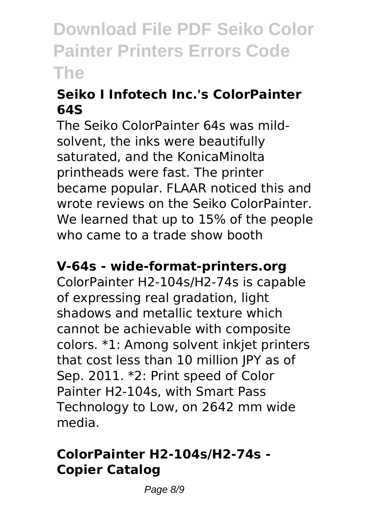# **Seiko I Infotech Inc.'s ColorPainter 64S**

The Seiko ColorPainter 64s was mildsolvent, the inks were beautifully saturated, and the KonicaMinolta printheads were fast. The printer became popular. FLAAR noticed this and wrote reviews on the Seiko ColorPainter. We learned that up to 15% of the people who came to a trade show booth

#### **V-64s - wide-format-printers.org**

ColorPainter H2-104s/H2-74s is capable of expressing real gradation, light shadows and metallic texture which cannot be achievable with composite colors. \*1: Among solvent inkjet printers that cost less than 10 million JPY as of Sep. 2011. \*2: Print speed of Color Painter H2-104s, with Smart Pass Technology to Low, on 2642 mm wide media.

# **ColorPainter H2-104s/H2-74s - Copier Catalog**

Page 8/9